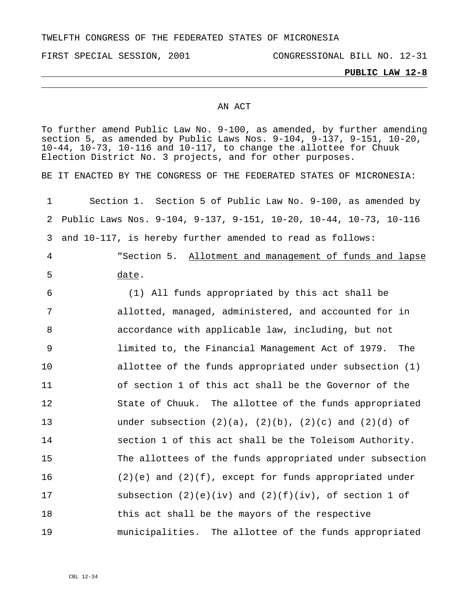TWELFTH CONGRESS OF THE FEDERATED STATES OF MICRONESIA

## AN ACT

To further amend Public Law No. 9-100, as amended, by further amending section 5, as amended by Public Laws Nos. 9-104, 9-137, 9-151, 10-20, 10-44, 10-73, 10-116 and 10-117, to change the allottee for Chuuk Election District No. 3 projects, and for other purposes. BE IT ENACTED BY THE CONGRESS OF THE FEDERATED STATES OF MICRONESIA: 1 2 3 Section 1. Section 5 of Public Law No. 9-100, as amended by Public Laws Nos. 9-104, 9-137, 9-151, 10-20, 10-44, 10-73, 10-116 and 10-117, is hereby further amended to read as follows: "Section 5. Allotment and management of funds and lapse date. 4 5 6 7 8 9 10 11 12 13 14 15 16 17 18 19 (1) All funds appropriated by this act shall be allotted, managed, administered, and accounted for in accordance with applicable law, including, but not limited to, the Financial Management Act of 1979. The allottee of the funds appropriated under subsection (1) of section 1 of this act shall be the Governor of the State of Chuuk. The allottee of the funds appropriated under subsection  $(2)(a)$ ,  $(2)(b)$ ,  $(2)(c)$  and  $(2)(d)$  of section 1 of this act shall be the Toleisom Authority. The allottees of the funds appropriated under subsection  $(2)(e)$  and  $(2)(f)$ , except for funds appropriated under subsection  $(2)(e)(iv)$  and  $(2)(f)(iv)$ , of section 1 of this act shall be the mayors of the respective municipalities. The allottee of the funds appropriated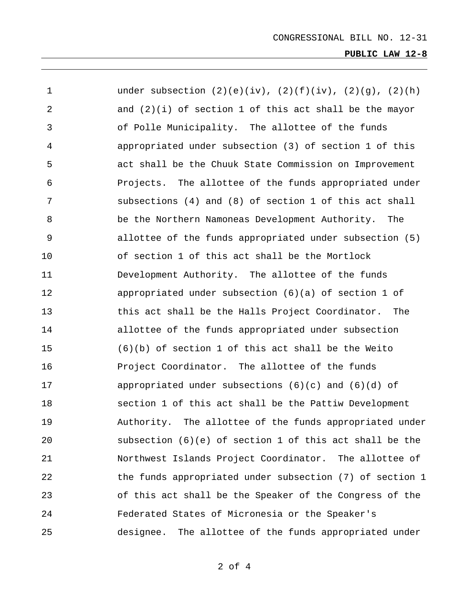## **PUBLIC LAW 12-8**

| $\mathbf 1$ | under subsection $(2)(e)(iv)$ , $(2)(f)(iv)$ , $(2)(g)$ , $(2)(h)$ |
|-------------|--------------------------------------------------------------------|
| 2           | and $(2)(i)$ of section 1 of this act shall be the mayor           |
| 3           | of Polle Municipality. The allottee of the funds                   |
| 4           | appropriated under subsection (3) of section 1 of this             |
| 5           | act shall be the Chuuk State Commission on Improvement             |
| 6           | Projects. The allottee of the funds appropriated under             |
| 7           | subsections (4) and (8) of section 1 of this act shall             |
| 8           | be the Northern Namoneas Development Authority. The                |
| 9           | allottee of the funds appropriated under subsection (5)            |
| 10          | of section 1 of this act shall be the Mortlock                     |
| 11          | Development Authority. The allottee of the funds                   |
| 12          | appropriated under subsection $(6)(a)$ of section 1 of             |
| 13          | this act shall be the Halls Project Coordinator.<br>The            |
| 14          | allottee of the funds appropriated under subsection                |
| 15          | $(6)(b)$ of section 1 of this act shall be the Weito               |
| 16          | Project Coordinator. The allottee of the funds                     |
| 17          | appropriated under subsections $(6)(c)$ and $(6)(d)$ of            |
| 18          | section 1 of this act shall be the Pattiw Development              |
| 19          | Authority. The allottee of the funds appropriated under            |
| 20          | subsection (6)(e) of section 1 of this act shall be the            |
| 21          | Northwest Islands Project Coordinator. The allottee of             |
| 22          | the funds appropriated under subsection (7) of section 1           |
| 23          | of this act shall be the Speaker of the Congress of the            |
| 24          | Federated States of Micronesia or the Speaker's                    |
| 25          | The allottee of the funds appropriated under<br>designee.          |

2 of 4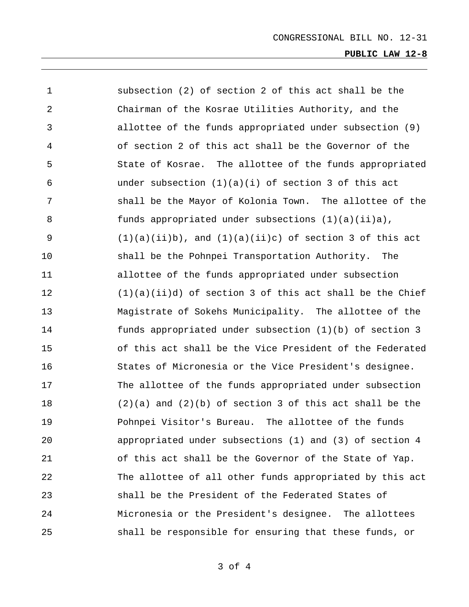| 1  | subsection (2) of section 2 of this act shall be the        |
|----|-------------------------------------------------------------|
| 2  | Chairman of the Kosrae Utilities Authority, and the         |
| 3  | allottee of the funds appropriated under subsection (9)     |
| 4  | of section 2 of this act shall be the Governor of the       |
| 5  | State of Kosrae. The allottee of the funds appropriated     |
| 6  | under subsection $(1)(a)(i)$ of section 3 of this act       |
| 7  | shall be the Mayor of Kolonia Town. The allottee of the     |
| 8  | funds appropriated under subsections (1)(a)(ii)a),          |
| 9  | $(1)(a)(ii)b$ , and $(1)(a)(ii)c$ of section 3 of this act  |
| 10 | shall be the Pohnpei Transportation Authority. The          |
| 11 | allottee of the funds appropriated under subsection         |
| 12 | $(1)(a)(ii)d)$ of section 3 of this act shall be the Chief  |
| 13 | Magistrate of Sokehs Municipality. The allottee of the      |
| 14 | funds appropriated under subsection $(1)(b)$ of section 3   |
| 15 | of this act shall be the Vice President of the Federated    |
| 16 | States of Micronesia or the Vice President's designee.      |
| 17 | The allottee of the funds appropriated under subsection     |
| 18 | $(2)(a)$ and $(2)(b)$ of section 3 of this act shall be the |
| 19 | Pohnpei Visitor's Bureau. The allottee of the funds         |
| 20 | appropriated under subsections (1) and (3) of section 4     |
| 21 | of this act shall be the Governor of the State of Yap.      |
| 22 | The allottee of all other funds appropriated by this act    |
| 23 | shall be the President of the Federated States of           |
| 24 | Micronesia or the President's designee. The allottees       |
| 25 | shall be responsible for ensuring that these funds, or      |

3 of 4